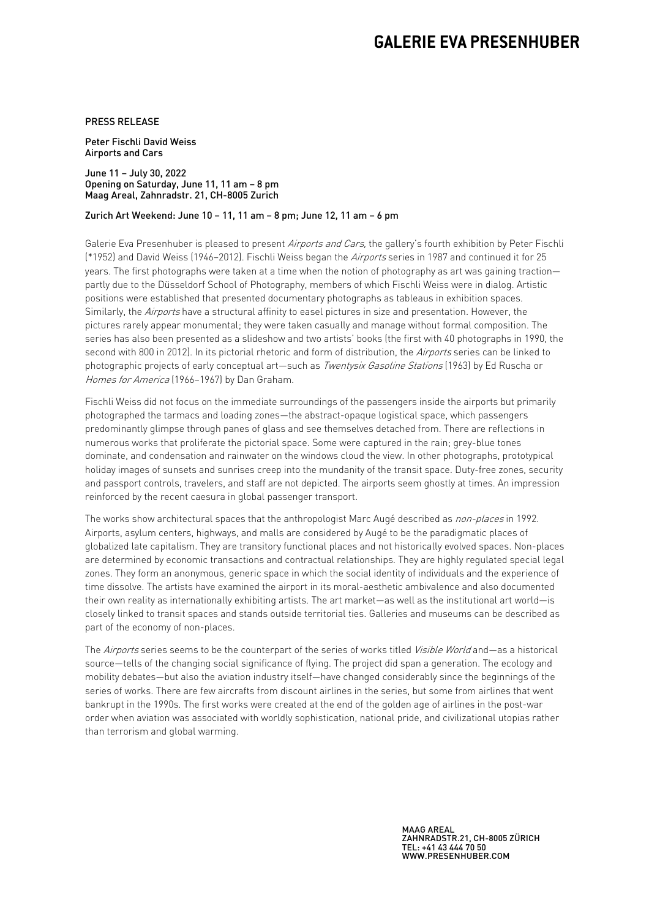# **GALERIE EVA PRESENHUBER**

### PRESS RELEASE

Peter Fischli David Weiss Airports and Cars

June 11 – July 30, 2022 Opening on Saturday, June 11, 11 am – 8 pm Maag Areal, Zahnradstr. 21, CH-8005 Zurich

#### Zurich Art Weekend: June 10 – 11, 11 am – 8 pm; June 12, 11 am – 6 pm

Galerie Eva Presenhuber is pleased to present Airports and Cars, the gallery's fourth exhibition by Peter Fischli (\*1952) and David Weiss (1946–2012). Fischli Weiss began the Airports series in 1987 and continued it for 25 years. The first photographs were taken at a time when the notion of photography as art was gaining traction partly due to the Düsseldorf School of Photography, members of which Fischli Weiss were in dialog. Artistic positions were established that presented documentary photographs as tableaus in exhibition spaces. Similarly, the Airports have a structural affinity to easel pictures in size and presentation. However, the pictures rarely appear monumental; they were taken casually and manage without formal composition. The series has also been presented as a slideshow and two artists' books (the first with 40 photographs in 1990, the second with 800 in 2012). In its pictorial rhetoric and form of distribution, the Airports series can be linked to photographic projects of early conceptual art—such as *Twentysix Gasoline Stations* (1963) by Ed Ruscha or Homes for America (1966–1967) by Dan Graham.

Fischli Weiss did not focus on the immediate surroundings of the passengers inside the airports but primarily photographed the tarmacs and loading zones—the abstract-opaque logistical space, which passengers predominantly glimpse through panes of glass and see themselves detached from. There are reflections in numerous works that proliferate the pictorial space. Some were captured in the rain; grey-blue tones dominate, and condensation and rainwater on the windows cloud the view. In other photographs, prototypical holiday images of sunsets and sunrises creep into the mundanity of the transit space. Duty-free zones, security and passport controls, travelers, and staff are not depicted. The airports seem ghostly at times. An impression reinforced by the recent caesura in global passenger transport.

The works show architectural spaces that the anthropologist Marc Augé described as non-places in 1992. Airports, asylum centers, highways, and malls are considered by Augé to be the paradigmatic places of globalized late capitalism. They are transitory functional places and not historically evolved spaces. Non-places are determined by economic transactions and contractual relationships. They are highly regulated special legal zones. They form an anonymous, generic space in which the social identity of individuals and the experience of time dissolve. The artists have examined the airport in its moral-aesthetic ambivalence and also documented their own reality as internationally exhibiting artists. The art market—as well as the institutional art world—is closely linked to transit spaces and stands outside territorial ties. Galleries and museums can be described as part of the economy of non-places.

The Airports series seems to be the counterpart of the series of works titled Visible World and—as a historical source—tells of the changing social significance of flying. The project did span a generation. The ecology and mobility debates—but also the aviation industry itself—have changed considerably since the beginnings of the series of works. There are few aircrafts from discount airlines in the series, but some from airlines that went bankrupt in the 1990s. The first works were created at the end of the golden age of airlines in the post-war order when aviation was associated with worldly sophistication, national pride, and civilizational utopias rather than terrorism and global warming.

> MAAG AREAL ZAHNRADSTR.21, CH-8005 ZÜRICH TEL: +41 43 444 70 50 WWW.PRESENHUBER.COM